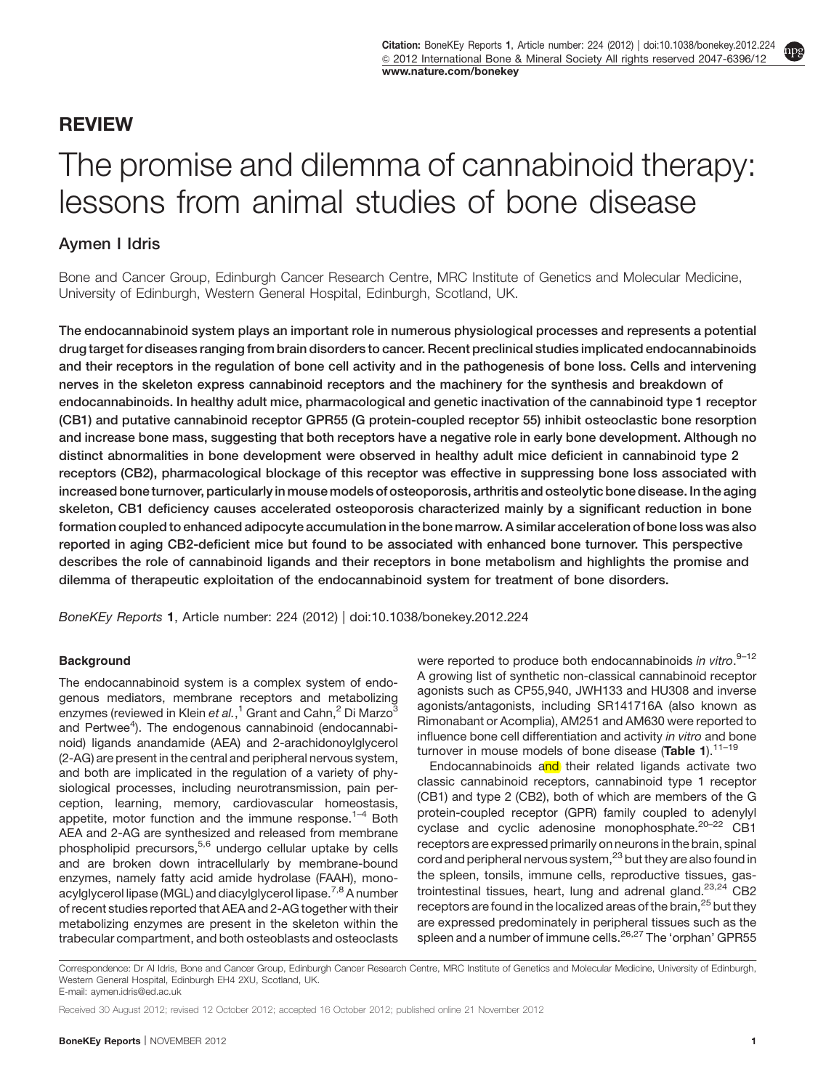## REVIEW

# The promise and dilemma of cannabinoid therapy: lessons from animal studies of bone disease

### Aymen I Idris

Bone and Cancer Group, Edinburgh Cancer Research Centre, MRC Institute of Genetics and Molecular Medicine, University of Edinburgh, Western General Hospital, Edinburgh, Scotland, UK.

The endocannabinoid system plays an important role in numerous physiological processes and represents a potential drug target for diseases ranging from brain disorders to cancer. Recent preclinical studies implicated endocannabinoids and their receptors in the regulation of bone cell activity and in the pathogenesis of bone loss. Cells and intervening nerves in the skeleton express cannabinoid receptors and the machinery for the synthesis and breakdown of endocannabinoids. In healthy adult mice, pharmacological and genetic inactivation of the cannabinoid type 1 receptor (CB1) and putative cannabinoid receptor GPR55 (G protein-coupled receptor 55) inhibit osteoclastic bone resorption and increase bone mass, suggesting that both receptors have a negative role in early bone development. Although no distinct abnormalities in bone development were observed in healthy adult mice deficient in cannabinoid type 2 receptors (CB2), pharmacological blockage of this receptor was effective in suppressing bone loss associated with increased bone turnover, particularly in mouse models of osteoporosis, arthritis and osteolytic bone disease. In the aging skeleton, CB1 deficiency causes accelerated osteoporosis characterized mainly by a significant reduction in bone formation coupled to enhanced adipocyte accumulation in the bone marrow. A similar acceleration of bone loss was also reported in aging CB2-deficient mice but found to be associated with enhanced bone turnover. This perspective describes the role of cannabinoid ligands and their receptors in bone metabolism and highlights the promise and dilemma of therapeutic exploitation of the endocannabinoid system for treatment of bone disorders.

BoneKEy Reports 1, Article number: 224 (2012) | doi:[10.1038/bonekey.2012.224](http://dx.doi.org/10.1038/bonekey.2012.224)

#### **Background**

The endocannabinoid system is a complex system of endogenous mediators, membrane receptors and metabolizing enzymes (reviewed in Klein e*t al.*,<sup>[1](#page-5-0)</sup> Grant and Cahn,<sup>[2](#page-5-0)</sup> Di Marzo<sup>[3](#page-5-0)</sup> and Pertwee<sup>[4](#page-5-0)</sup>). The endogenous cannabinoid (endocannabinoid) ligands anandamide (AEA) and 2-arachidonoylglycerol (2-AG) are present in the central and peripheral nervous system, and both are implicated in the regulation of a variety of physiological processes, including neurotransmission, pain perception, learning, memory, cardiovascular homeostasis, appetite, motor function and the immune response.<sup>1-4</sup> Both AEA and 2-AG are synthesized and released from membrane phospholipid precursors, $5,6$  undergo cellular uptake by cells and are broken down intracellularly by membrane-bound enzymes, namely fatty acid amide hydrolase (FAAH), mono-acylglycerol lipase (MGL) and diacylglycerol lipase.<sup>[7,8](#page-5-0)</sup> A number of recent studies reported that AEA and 2-AG together with their metabolizing enzymes are present in the skeleton within the trabecular compartment, and both osteoblasts and osteoclasts were reported to produce both endocannabinoids in vitro.<sup>9-12</sup> A growing list of synthetic non-classical cannabinoid receptor agonists such as CP55,940, JWH133 and HU308 and inverse agonists/antagonists, including SR141716A (also known as Rimonabant or Acomplia), AM251 and AM630 were reported to influence bone cell differentiation and activity in vitro and bone turnover in mouse models of bone disease ([Table 1](#page-1-0)). $11-19$ 

Endocannabinoids and their related ligands activate two classic cannabinoid receptors, cannabinoid type 1 receptor (CB1) and type 2 (CB2), both of which are members of the G protein-coupled receptor (GPR) family coupled to adenylyl cyclase and cyclic adenosine monophosphate.<sup>20-22</sup> CB1 receptors are expressed primarily on neurons in the brain, spinal cord and peripheral nervous system,<sup>[23](#page-6-0)</sup> but they are also found in the spleen, tonsils, immune cells, reproductive tissues, gastrointestinal tissues, heart, lung and adrenal gland. $23,24$  CB2 receptors are found in the localized areas of the brain,<sup>[25](#page-6-0)</sup> but they are expressed predominately in peripheral tissues such as the spleen and a number of immune cells.<sup>[26,27](#page-6-0)</sup> The 'orphan' GPR55

Correspondence: Dr AI Idris, Bone and Cancer Group, Edinburgh Cancer Research Centre, MRC Institute of Genetics and Molecular Medicine, University of Edinburgh, Western General Hospital, Edinburgh EH4 2XU, Scotland, UK.

E-mail: [aymen.idris@ed.ac.uk](mailto:aymen.idris@ed.ac.uk)

Received 30 August 2012; revised 12 October 2012; accepted 16 October 2012; published online 21 November 2012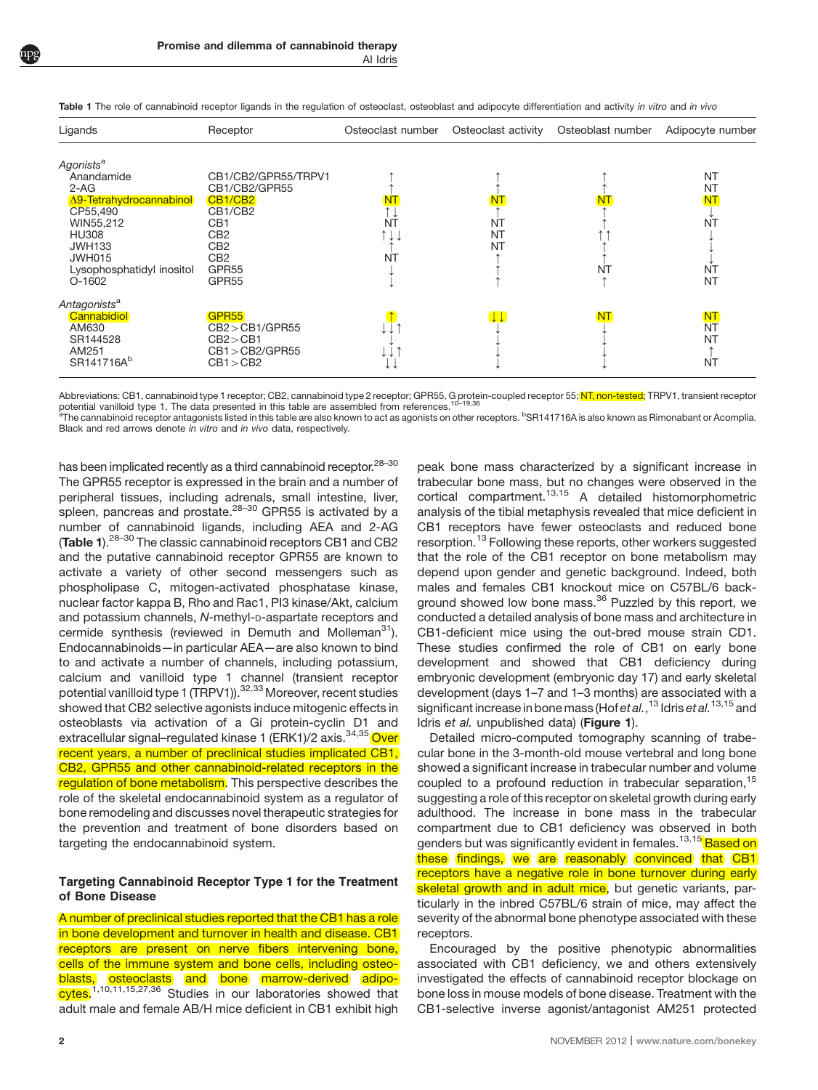Ligands Receptor Osteoclast number Osteoclast activity Osteoblast number Adipocyte number Agonists<sup>a</sup><br>Anandamide Anandamide CB1/CB2/GPR55/TRPV1 mmm NT 2-AG CB1/CB2/GPR55 mmm NT <u>A9-Tetrahydrocannabinol CB1/CB2</u> NT NT NT NT NT NT NT NT NT NT NT NT NT  $\begin{array}{ccc} \text{CP55,490} & \text{CH1/CE2} & \text{CH2} & \text{CH2} & \text{CH2} & \text{CH2} & \text{CH2} & \text{CH2} & \text{CH2} & \text{CH2} & \text{CH2} & \text{CH2} & \text{CH2} & \text{CH2} & \text{CH2} & \text{CH2} & \text{CH2} & \text{CH2} & \text{CH2} & \text{CH2} & \text{CH2} & \text{CH2} & \text{CH2} & \text{CH2} & \text{CH2} & \text{CH2} & \text{CH2} & \text{CH2} & \text{CH2} & \text$ WIN55,212 CB1 NT NT m NT HU308 CB2 mkk NT mm k JWH133 CB2 m NT m k JWH015  $\qquad$  CB2 NT  $\uparrow$   $\uparrow$   $\uparrow$ Lysophosphatidyl inositol GPR55 k m NT NT O-1602 GPR55 kmm NT Antagonists<sup>a</sup><br><mark>Cannabidiol</mark> Cannabidiol GPR55 m kk NT NT AM630 CB24CB1/GPR55 kkm k k NT  $\begin{array}{ccc} \text{S}\text{R}144528 & \text{C}\text{B}2\text{>CB1} \end{array}$ AM251 CB14CB2/GPR55 kkm k k m SR141716A<sup>b</sup> CB1>CB2 k k k k k k k NT

<span id="page-1-0"></span>Table 1 The role of cannabinoid receptor ligands in the regulation of osteoclast, osteoblast and adipocyte differentiation and activity in vitro and in vivo

Abbreviations: CB1, cannabinoid type 1 receptor; CB2, cannabinoid type 2 receptor; GPR55, G protein-coupled receptor 55; NT, non-tested; TRPV1, transient receptor potential vanilloid type 1. The data presented in this table are assembled from references.

<sup>a</sup>The cannabinoid receptor antagonists listed in this table are also known to act as agonists on other receptors. <sup>b</sup>SR141716A is also known as Rimonabant or Acomplia. Black and red arrows denote in vitro and in vivo data, respectively.

has been implicated recently as a third cannabinoid receptor.<sup>28-30</sup> The GPR55 receptor is expressed in the brain and a number of peripheral tissues, including adrenals, small intestine, liver, spleen, pancreas and prostate. $28-30$  GPR55 is activated by a number of cannabinoid ligands, including AEA and 2-AG (Table 1).<sup>[28–30](#page-6-0)</sup> The classic cannabinoid receptors CB1 and CB2 and the putative cannabinoid receptor GPR55 are known to activate a variety of other second messengers such as phospholipase C, mitogen-activated phosphatase kinase, nuclear factor kappa B, Rho and Rac1, PI3 kinase/Akt, calcium and potassium channels, N-methyl-D-aspartate receptors and cermide synthesis (reviewed in Demuth and Molleman $31$ ). Endocannabinoids—in particular AEA—are also known to bind to and activate a number of channels, including potassium, calcium and vanilloid type 1 channel (transient receptor potential vanilloid type 1 (TRPV1)).<sup>[32,33](#page-6-0)</sup> Moreover, recent studies showed that CB2 selective agonists induce mitogenic effects in osteoblasts via activation of a Gi protein-cyclin D1 and extracellular signal–regulated kinase 1 (ERK1)/2 axis.<sup>[34,35](#page-6-0)</sup> Over recent years, a number of preclinical studies implicated CB1, CB2, GPR55 and other cannabinoid-related receptors in the regulation of bone metabolism. This perspective describes the role of the skeletal endocannabinoid system as a regulator of bone remodeling and discusses novel therapeutic strategies for the prevention and treatment of bone disorders based on targeting the endocannabinoid system.

#### Targeting Cannabinoid Receptor Type 1 for the Treatment of Bone Disease

A number of preclinical studies reported that the CB1 has a role in bone development and turnover in health and disease. CB1 receptors are present on nerve fibers intervening bone, cells of the immune system and bone cells, including osteoblasts, osteoclasts and bone marrow-derived adipo-cytes.<sup>[1,10,11,15,27,36](#page-5-0)</sup> Studies in our laboratories showed that adult male and female AB/H mice deficient in CB1 exhibit high peak bone mass characterized by a significant increase in trabecular bone mass, but no changes were observed in the cortical compartment.[13,15](#page-5-0) A detailed histomorphometric analysis of the tibial metaphysis revealed that mice deficient in CB1 receptors have fewer osteoclasts and reduced bone resorption.<sup>[13](#page-5-0)</sup> Following these reports, other workers suggested that the role of the CB1 receptor on bone metabolism may depend upon gender and genetic background. Indeed, both males and females CB1 knockout mice on C57BL/6 back-ground showed low bone mass.<sup>[36](#page-6-0)</sup> Puzzled by this report, we conducted a detailed analysis of bone mass and architecture in CB1-deficient mice using the out-bred mouse strain CD1. These studies confirmed the role of CB1 on early bone development and showed that CB1 deficiency during embryonic development (embryonic day 17) and early skeletal development (days 1–7 and 1–3 months) are associated with a significant increase in bone mass (Hof et al., <sup>[13](#page-5-0)</sup> Idris et al. <sup>[13,15](#page-5-0)</sup> and Idris et al. unpublished data) ([Figure 1](#page-2-0)).

Detailed micro-computed tomography scanning of trabecular bone in the 3-month-old mouse vertebral and long bone showed a significant increase in trabecular number and volume coupled to a profound reduction in trabecular separation,<sup>[15](#page-5-0)</sup> suggesting a role of this receptor on skeletal growth during early adulthood. The increase in bone mass in the trabecular compartment due to CB1 deficiency was observed in both genders but was significantly evident in females.<sup>[13,15](#page-5-0)</sup> Based on these findings, we are reasonably convinced that CB1 receptors have a negative role in bone turnover during early skeletal growth and in adult mice, but genetic variants, particularly in the inbred C57BL/6 strain of mice, may affect the severity of the abnormal bone phenotype associated with these receptors.

Encouraged by the positive phenotypic abnormalities associated with CB1 deficiency, we and others extensively investigated the effects of cannabinoid receptor blockage on bone loss in mouse models of bone disease. Treatment with the CB1-selective inverse agonist/antagonist AM251 protected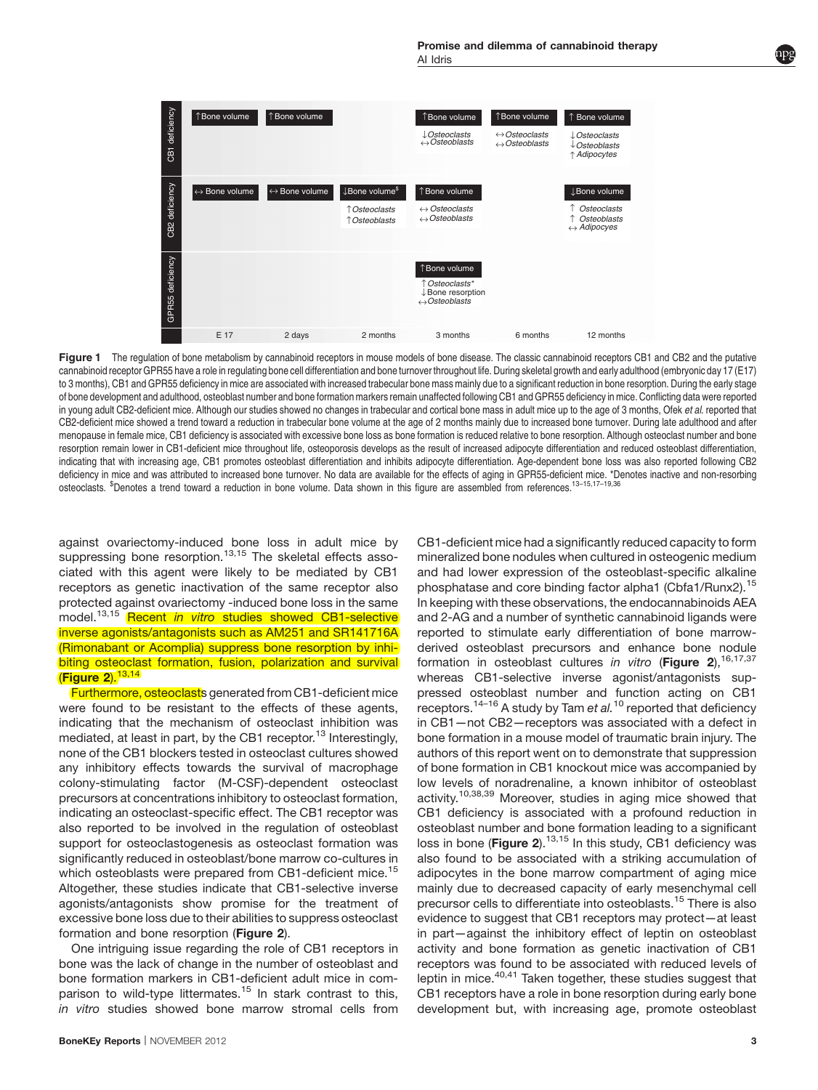<span id="page-2-0"></span>

Figure 1 The regulation of bone metabolism by cannabinoid receptors in mouse models of bone disease. The classic cannabinoid receptors CB1 and CB2 and the putative cannabinoid receptor GPR55 have a role in regulating bone cell differentiation and bone turnover throughout life. During skeletal growth and early adulthood (embryonic day 17 (E17) to 3 months), CB1 and GPR55 deficiency in mice are associated with increased trabecular bone mass mainly due to a significant reduction in bone resorption. During the early stage of bone development and adulthood, osteoblast number and bone formation markers remain unaffected following CB1 and GPR55 deficiency in mice. Conflicting data were reported in young adult CB2-deficient mice. Although our studies showed no changes in trabecular and cortical bone mass in adult mice up to the age of 3 months, Ofek et al. reported that CB2-deficient mice showed a trend toward a reduction in trabecular bone volume at the age of 2 months mainly due to increased bone turnover. During late adulthood and after menopause in female mice, CB1 deficiency is associated with excessive bone loss as bone formation is reduced relative to bone resorption. Although osteoclast number and bone resorption remain lower in CB1-deficient mice throughout life, osteoporosis develops as the result of increased adipocyte differentiation and reduced osteoblast differentiation, indicating that with increasing age, CB1 promotes osteoblast differentiation and inhibits adipocyte differentiation. Age-dependent bone loss was also reported following CB2 deficiency in mice and was attributed to increased bone turnover. No data are available for the effects of aging in GPR55-deficient mice. \*Denotes inactive and non-resorbing osteoclasts. <sup>\$</sup>Denotes a trend toward a reduction in bone volume. Data shown in this figure are assembled from references.<sup>[13–15,17–19,36](#page-5-0)</sup>

against ovariectomy-induced bone loss in adult mice by suppressing bone resorption.<sup>[13,15](#page-5-0)</sup> The skeletal effects associated with this agent were likely to be mediated by CB1 receptors as genetic inactivation of the same receptor also protected against ovariectomy -induced bone loss in the same model.<sup>[13,15](#page-5-0)</sup> Recent in vitro studies showed CB1-selective inverse agonists/antagonists such as AM251 and SR141716A (Rimonabant or Acomplia) suppress bone resorption by inhibiting osteoclast formation, fusion, polarization and survival  $(Figure 2).$  $(Figure 2).$  $(Figure 2).$ <sup>[13,14](#page-5-0)</sup>

Furthermore, osteoclasts generated from CB1-deficient mice were found to be resistant to the effects of these agents, indicating that the mechanism of osteoclast inhibition was mediated, at least in part, by the CB1 receptor.<sup>[13](#page-5-0)</sup> Interestingly, none of the CB1 blockers tested in osteoclast cultures showed any inhibitory effects towards the survival of macrophage colony-stimulating factor (M-CSF)-dependent osteoclast precursors at concentrations inhibitory to osteoclast formation, indicating an osteoclast-specific effect. The CB1 receptor was also reported to be involved in the regulation of osteoblast support for osteoclastogenesis as osteoclast formation was significantly reduced in osteoblast/bone marrow co-cultures in which osteoblasts were prepared from CB1-deficient mice.<sup>[15](#page-5-0)</sup> Altogether, these studies indicate that CB1-selective inverse agonists/antagonists show promise for the treatment of excessive bone loss due to their abilities to suppress osteoclast formation and bone resorption ([Figure 2](#page-3-0)).

One intriguing issue regarding the role of CB1 receptors in bone was the lack of change in the number of osteoblast and bone formation markers in CB1-deficient adult mice in com-parison to wild-type littermates.<sup>[15](#page-5-0)</sup> In stark contrast to this, in vitro studies showed bone marrow stromal cells from CB1-deficient mice had a significantly reduced capacity to form mineralized bone nodules when cultured in osteogenic medium and had lower expression of the osteoblast-specific alkaline phosphatase and core binding factor alpha1 (Cbfa1/Runx2).[15](#page-5-0) In keeping with these observations, the endocannabinoids AEA and 2-AG and a number of synthetic cannabinoid ligands were reported to stimulate early differentiation of bone marrowderived osteoblast precursors and enhance bone nodule formation in osteoblast cultures in vitro ([Figure 2](#page-3-0)),  $16,17,37$ whereas CB1-selective inverse agonist/antagonists suppressed osteoblast number and function acting on CB1 receptors.<sup>[14–16](#page-5-0)</sup> A study by Tam et al.<sup>[10](#page-5-0)</sup> reported that deficiency in CB1—not CB2—receptors was associated with a defect in bone formation in a mouse model of traumatic brain injury. The authors of this report went on to demonstrate that suppression of bone formation in CB1 knockout mice was accompanied by low levels of noradrenaline, a known inhibitor of osteoblast activity[.10,38,39](#page-5-0) Moreover, studies in aging mice showed that CB1 deficiency is associated with a profound reduction in osteoblast number and bone formation leading to a significant loss in bone ([Figure 2](#page-3-0)).<sup>[13,15](#page-5-0)</sup> In this study, CB1 deficiency was also found to be associated with a striking accumulation of adipocytes in the bone marrow compartment of aging mice mainly due to decreased capacity of early mesenchymal cell precursor cells to differentiate into osteoblasts.<sup>[15](#page-5-0)</sup> There is also evidence to suggest that CB1 receptors may protect—at least in part—against the inhibitory effect of leptin on osteoblast activity and bone formation as genetic inactivation of CB1 receptors was found to be associated with reduced levels of leptin in mice.<sup>40,41</sup> Taken together, these studies suggest that CB1 receptors have a role in bone resorption during early bone development but, with increasing age, promote osteoblast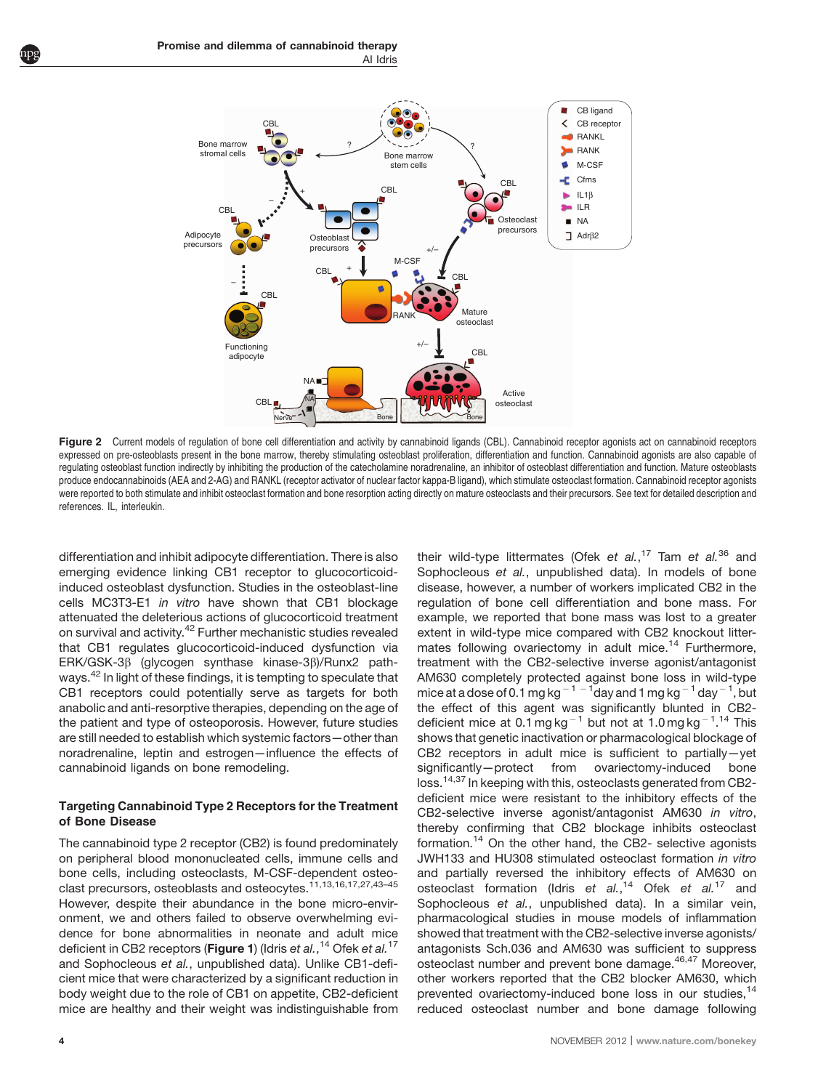<span id="page-3-0"></span>

Figure 2 Current models of regulation of bone cell differentiation and activity by cannabinoid ligands (CBL). Cannabinoid receptor agonists act on cannabinoid receptors expressed on pre-osteoblasts present in the bone marrow, thereby stimulating osteoblast proliferation, differentiation and function. Cannabinoid agonists are also capable of regulating osteoblast function indirectly by inhibiting the production of the catecholamine noradrenaline, an inhibitor of osteoblast differentiation and function. Mature osteoblasts produce endocannabinoids (AEA and 2-AG) and RANKL (receptor activator of nuclear factor kappa-B ligand), which stimulate osteoclast formation. Cannabinoid receptor agonists were reported to both stimulate and inhibit osteoclast formation and bone resorption acting directly on mature osteoclasts and their precursors. See text for detailed description and references. IL, interleukin.

differentiation and inhibit adipocyte differentiation. There is also emerging evidence linking CB1 receptor to glucocorticoidinduced osteoblast dysfunction. Studies in the osteoblast-line cells MC3T3-E1 in vitro have shown that CB1 blockage attenuated the deleterious actions of glucocorticoid treatment on survival and activity.[42](#page-6-0) Further mechanistic studies revealed that CB1 regulates glucocorticoid-induced dysfunction via ERK/GSK-3b (glycogen synthase kinase-3b)/Runx2 pathways[.42](#page-6-0) In light of these findings, it is tempting to speculate that CB1 receptors could potentially serve as targets for both anabolic and anti-resorptive therapies, depending on the age of the patient and type of osteoporosis. However, future studies are still needed to establish which systemic factors—other than noradrenaline, leptin and estrogen—influence the effects of cannabinoid ligands on bone remodeling.

#### Targeting Cannabinoid Type 2 Receptors for the Treatment of Bone Disease

The cannabinoid type 2 receptor (CB2) is found predominately on peripheral blood mononucleated cells, immune cells and bone cells, including osteoclasts, M-CSF-dependent osteoclast precursors, osteoblasts and osteocytes.<sup>11,13,16,17,27,43-45</sup> However, despite their abundance in the bone micro-environment, we and others failed to observe overwhelming evidence for bone abnormalities in neonate and adult mice deficient in CB2 receptors (**[Figure 1](#page-2-0)**) (Idris e*t al.*,<sup>[14](#page-5-0)</sup> Ofek e*t al.*<sup>[17](#page-5-0)</sup> and Sophocleous et al., unpublished data). Unlike CB1-deficient mice that were characterized by a significant reduction in body weight due to the role of CB1 on appetite, CB2-deficient mice are healthy and their weight was indistinguishable from their wild-type littermates (Ofek et al.,<sup>[17](#page-5-0)</sup> Tam et al.<sup>[36](#page-6-0)</sup> and Sophocleous et al., unpublished data). In models of bone disease, however, a number of workers implicated CB2 in the regulation of bone cell differentiation and bone mass. For example, we reported that bone mass was lost to a greater extent in wild-type mice compared with CB2 knockout litter-mates following ovariectomy in adult mice.<sup>[14](#page-5-0)</sup> Furthermore, treatment with the CB2-selective inverse agonist/antagonist AM630 completely protected against bone loss in wild-type mice at a dose of 0.1 mg kg  $^{-1}$   $^{-1}$  day and 1 mg kg  $^{-1}$  day  $^{-1}$ , but the effect of this agent was significantly blunted in CB2- deficient mice at 0.1 mg kg<sup>-1</sup> but not at 1.0 mg kg<sup>-1</sup>.<sup>[14](#page-5-0)</sup> This shows that genetic inactivation or pharmacological blockage of CB2 receptors in adult mice is sufficient to partially—yet significantly—protect from ovariectomy-induced bone loss.<sup>[14,37](#page-5-0)</sup> In keeping with this, osteoclasts generated from CB2deficient mice were resistant to the inhibitory effects of the CB2-selective inverse agonist/antagonist AM630 in vitro, thereby confirming that CB2 blockage inhibits osteoclast formation.[14](#page-5-0) On the other hand, the CB2- selective agonists JWH133 and HU308 stimulated osteoclast formation in vitro and partially reversed the inhibitory effects of AM630 on osteoclast formation (Idris et al.,<sup>[14](#page-5-0)</sup> Ofek et al.<sup>[17](#page-5-0)</sup> and Sophocleous et al., unpublished data). In a similar vein, pharmacological studies in mouse models of inflammation showed that treatment with the CB2-selective inverse agonists/ antagonists Sch.036 and AM630 was sufficient to suppress osteoclast number and prevent bone damage.<sup>[46,47](#page-6-0)</sup> Moreover. other workers reported that the CB2 blocker AM630, which prevented ovariectomy-induced bone loss in our studies,<sup>[14](#page-5-0)</sup> reduced osteoclast number and bone damage following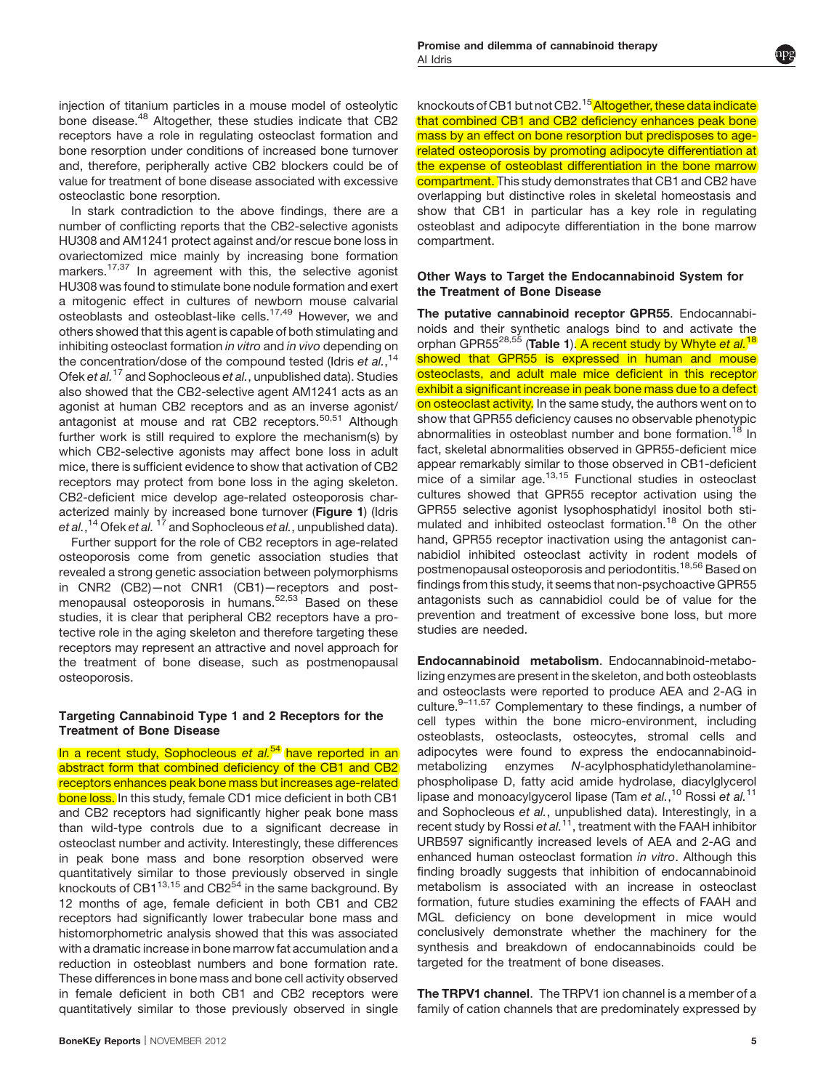injection of titanium particles in a mouse model of osteolytic bone disease.<sup>[48](#page-6-0)</sup> Altogether, these studies indicate that CB2 receptors have a role in regulating osteoclast formation and bone resorption under conditions of increased bone turnover and, therefore, peripherally active CB2 blockers could be of value for treatment of bone disease associated with excessive osteoclastic bone resorption.

In stark contradiction to the above findings, there are a number of conflicting reports that the CB2-selective agonists HU308 and AM1241 protect against and/or rescue bone loss in ovariectomized mice mainly by increasing bone formation markers.[17,37](#page-5-0) In agreement with this, the selective agonist HU308 was found to stimulate bone nodule formation and exert a mitogenic effect in cultures of newborn mouse calvarial osteoblasts and osteoblast-like cells.[17,49](#page-5-0) However, we and others showed that this agent is capable of both stimulating and inhibiting osteoclast formation in vitro and in vivo depending on the concentration/dose of the compound tested (Idris et al., <sup>[14](#page-5-0)</sup> Ofek et al.<sup>[17](#page-5-0)</sup> and Sophocleous et al., unpublished data). Studies also showed that the CB2-selective agent AM1241 acts as an agonist at human CB2 receptors and as an inverse agonist/ antagonist at mouse and rat CB2 receptors.<sup>[50,51](#page-6-0)</sup> Although further work is still required to explore the mechanism(s) by which CB2-selective agonists may affect bone loss in adult mice, there is sufficient evidence to show that activation of CB2 receptors may protect from bone loss in the aging skeleton. CB2-deficient mice develop age-related osteoporosis characterized mainly by increased bone turnover ([Figure 1](#page-2-0)) (Idris e*t al.*,<sup>[14](#page-5-0)</sup> Ofek e*t al.* <sup>[17](#page-5-0)</sup> and Sophocleous e*t al.*, unpublished data).

Further support for the role of CB2 receptors in age-related osteoporosis come from genetic association studies that revealed a strong genetic association between polymorphisms in CNR2 (CB2)—not CNR1 (CB1)—receptors and post-menopausal osteoporosis in humans.<sup>[52,53](#page-6-0)</sup> Based on these studies, it is clear that peripheral CB2 receptors have a protective role in the aging skeleton and therefore targeting these receptors may represent an attractive and novel approach for the treatment of bone disease, such as postmenopausal osteoporosis.

#### Targeting Cannabinoid Type 1 and 2 Receptors for the Treatment of Bone Disease

In a recent study, Sophocleous et  $al^{54}$  $al^{54}$  $al^{54}$  have reported in an abstract form that combined deficiency of the CB1 and CB2 receptors enhances peak bone mass but increases age-related bone loss. In this study, female CD1 mice deficient in both CB1 and CB2 receptors had significantly higher peak bone mass than wild-type controls due to a significant decrease in osteoclast number and activity. Interestingly, these differences in peak bone mass and bone resorption observed were quantitatively similar to those previously observed in single knockouts of CB1 $1^{13,15}$  and CB2 $5^4$  in the same background. By 12 months of age, female deficient in both CB1 and CB2 receptors had significantly lower trabecular bone mass and histomorphometric analysis showed that this was associated with a dramatic increase in bone marrow fat accumulation and a reduction in osteoblast numbers and bone formation rate. These differences in bone mass and bone cell activity observed in female deficient in both CB1 and CB2 receptors were quantitatively similar to those previously observed in single knockouts of CB1 but not CB2.<sup>[15](#page-5-0)</sup> Altogether, these data indicate that combined CB1 and CB2 deficiency enhances peak bone mass by an effect on bone resorption but predisposes to agerelated osteoporosis by promoting adipocyte differentiation at the expense of osteoblast differentiation in the bone marrow compartment. This study demonstrates that CB1 and CB2 have overlapping but distinctive roles in skeletal homeostasis and show that CB1 in particular has a key role in regulating osteoblast and adipocyte differentiation in the bone marrow compartment.

#### Other Ways to Target the Endocannabinoid System for the Treatment of Bone Disease

The putative cannabinoid receptor GPR55. Endocannabinoids and their synthetic analogs bind to and activate the orphan GPR55<sup>[28,55](#page-6-0)</sup> ([Table 1](#page-1-0)). A recent study by Whyte et al.<sup>[18](#page-5-0)</sup> showed that GPR55 is expressed in human and mouse osteoclasts, and adult male mice deficient in this receptor exhibit a significant increase in peak bone mass due to a defect on osteoclast activity. In the same study, the authors went on to show that GPR55 deficiency causes no observable phenotypic abnormalities in osteoblast number and bone formation.<sup>[18](#page-5-0)</sup> In fact, skeletal abnormalities observed in GPR55-deficient mice appear remarkably similar to those observed in CB1-deficient mice of a similar age.<sup>[13,15](#page-5-0)</sup> Functional studies in osteoclast cultures showed that GPR55 receptor activation using the GPR55 selective agonist lysophosphatidyl inositol both sti-mulated and inhibited osteoclast formation.<sup>[18](#page-5-0)</sup> On the other hand, GPR55 receptor inactivation using the antagonist cannabidiol inhibited osteoclast activity in rodent models of postmenopausal osteoporosis and periodontitis.<sup>[18,56](#page-5-0)</sup> Based on findings from this study, it seems that non-psychoactive GPR55 antagonists such as cannabidiol could be of value for the prevention and treatment of excessive bone loss, but more studies are needed.

Endocannabinoid metabolism. Endocannabinoid-metabolizing enzymes are present in the skeleton, and both osteoblasts and osteoclasts were reported to produce AEA and 2-AG in culture. $9-11,57$  Complementary to these findings, a number of cell types within the bone micro-environment, including osteoblasts, osteoclasts, osteocytes, stromal cells and adipocytes were found to express the endocannabinoidmetabolizing enzymes N-acylphosphatidylethanolaminephospholipase D, fatty acid amide hydrolase, diacylglycerol lipase and monoacylgycerol lipase (Tam et al.,<sup>[10](#page-5-0)</sup> Rossi et al.<sup>[11](#page-5-0)</sup> and Sophocleous et al., unpublished data). Interestingly, in a recent study by Rossi et  $al.1^1$ , treatment with the FAAH inhibitor URB597 significantly increased levels of AEA and 2-AG and enhanced human osteoclast formation in vitro. Although this finding broadly suggests that inhibition of endocannabinoid metabolism is associated with an increase in osteoclast formation, future studies examining the effects of FAAH and MGL deficiency on bone development in mice would conclusively demonstrate whether the machinery for the synthesis and breakdown of endocannabinoids could be targeted for the treatment of bone diseases.

The TRPV1 channel. The TRPV1 ion channel is a member of a family of cation channels that are predominately expressed by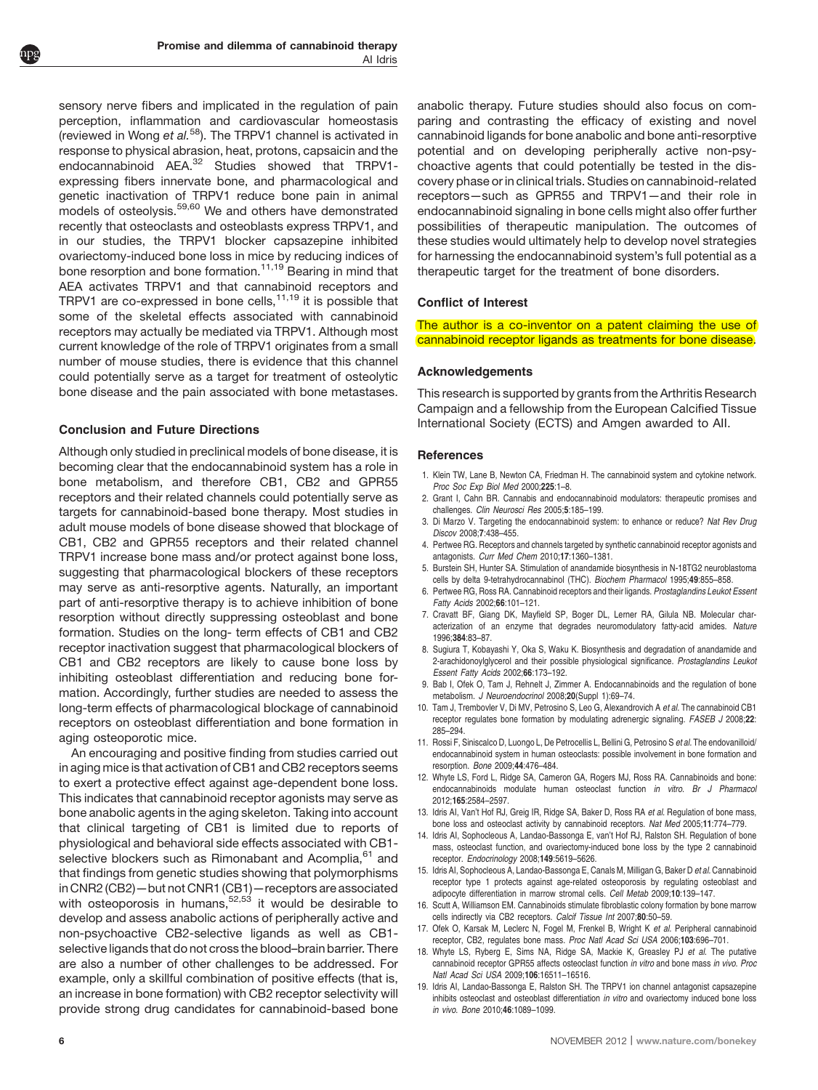<span id="page-5-0"></span>sensory nerve fibers and implicated in the regulation of pain perception, inflammation and cardiovascular homeostasis (reviewed in Wong et  $al.58$ ). The TRPV1 channel is activated in response to physical abrasion, heat, protons, capsaicin and the endocannabinoid AEA.<sup>[32](#page-6-0)</sup> Studies showed that TRPV1expressing fibers innervate bone, and pharmacological and genetic inactivation of TRPV1 reduce bone pain in animal models of osteolysis.[59,60](#page-6-0) We and others have demonstrated recently that osteoclasts and osteoblasts express TRPV1, and in our studies, the TRPV1 blocker capsazepine inhibited ovariectomy-induced bone loss in mice by reducing indices of bone resorption and bone formation.<sup>11,19</sup> Bearing in mind that AEA activates TRPV1 and that cannabinoid receptors and TRPV1 are co-expressed in bone cells, $11,19$  it is possible that some of the skeletal effects associated with cannabinoid receptors may actually be mediated via TRPV1. Although most current knowledge of the role of TRPV1 originates from a small number of mouse studies, there is evidence that this channel could potentially serve as a target for treatment of osteolytic bone disease and the pain associated with bone metastases.

#### Conclusion and Future Directions

Although only studied in preclinical models of bone disease, it is becoming clear that the endocannabinoid system has a role in bone metabolism, and therefore CB1, CB2 and GPR55 receptors and their related channels could potentially serve as targets for cannabinoid-based bone therapy. Most studies in adult mouse models of bone disease showed that blockage of CB1, CB2 and GPR55 receptors and their related channel TRPV1 increase bone mass and/or protect against bone loss, suggesting that pharmacological blockers of these receptors may serve as anti-resorptive agents. Naturally, an important part of anti-resorptive therapy is to achieve inhibition of bone resorption without directly suppressing osteoblast and bone formation. Studies on the long- term effects of CB1 and CB2 receptor inactivation suggest that pharmacological blockers of CB1 and CB2 receptors are likely to cause bone loss by inhibiting osteoblast differentiation and reducing bone formation. Accordingly, further studies are needed to assess the long-term effects of pharmacological blockage of cannabinoid receptors on osteoblast differentiation and bone formation in aging osteoporotic mice.

An encouraging and positive finding from studies carried out in aging mice is that activation of CB1 and CB2 receptors seems to exert a protective effect against age-dependent bone loss. This indicates that cannabinoid receptor agonists may serve as bone anabolic agents in the aging skeleton. Taking into account that clinical targeting of CB1 is limited due to reports of physiological and behavioral side effects associated with CB1- selective blockers such as Rimonabant and Acomplia,<sup>[61](#page-6-0)</sup> and that findings from genetic studies showing that polymorphisms in CNR2 (CB2)—but not CNR1 (CB1)—receptors areassociated with osteoporosis in humans, $52,53$  it would be desirable to develop and assess anabolic actions of peripherally active and non-psychoactive CB2-selective ligands as well as CB1 selective ligands that do not cross the blood–brain barrier. There are also a number of other challenges to be addressed. For example, only a skillful combination of positive effects (that is, an increase in bone formation) with CB2 receptor selectivity will provide strong drug candidates for cannabinoid-based bone anabolic therapy. Future studies should also focus on comparing and contrasting the efficacy of existing and novel cannabinoid ligands for bone anabolic and bone anti-resorptive potential and on developing peripherally active non-psychoactive agents that could potentially be tested in the discovery phase or in clinical trials. Studies on cannabinoid-related receptors—such as GPR55 and TRPV1—and their role in endocannabinoid signaling in bone cells might also offer further possibilities of therapeutic manipulation. The outcomes of these studies would ultimately help to develop novel strategies for harnessing the endocannabinoid system's full potential as a therapeutic target for the treatment of bone disorders.

#### Conflict of Interest

The author is a co-inventor on a patent claiming the use of cannabinoid receptor ligands as treatments for bone disease.

#### Acknowledgements

This research is supported by grants from the Arthritis Research Campaign and a fellowship from the European Calcified Tissue International Society (ECTS) and Amgen awarded to AII.

#### References

- 1. Klein TW, Lane B, Newton CA, Friedman H. The cannabinoid system and cytokine network. Proc Soc Exp Biol Med 2000;225:1–8.
- 2. Grant I, Cahn BR. Cannabis and endocannabinoid modulators: therapeutic promises and challenges. Clin Neurosci Res 2005;5:185–199.
- 3. Di Marzo V. Targeting the endocannabinoid system: to enhance or reduce? Nat Rev Drug Discov 2008;7:438–455.
- 4. Pertwee RG. Receptors and channels targeted by synthetic cannabinoid receptor agonists and antagonists. Curr Med Chem 2010;17:1360–1381.
- 5. Burstein SH, Hunter SA. Stimulation of anandamide biosynthesis in N-18TG2 neuroblastoma cells by delta 9-tetrahydrocannabinol (THC). Biochem Pharmacol 1995;49:855–858.
- 6. Pertwee RG, Ross RA. Cannabinoid receptors and their ligands. Prostaglandins Leukot Essent Fatty Acids 2002;66:101–121.
- 7. Cravatt BF, Giang DK, Mayfield SP, Boger DL, Lerner RA, Gilula NB. Molecular characterization of an enzyme that degrades neuromodulatory fatty-acid amides. Nature 1996;384:83–87.
- 8. Sugiura T, Kobayashi Y, Oka S, Waku K. Biosynthesis and degradation of anandamide and 2-arachidonoylglycerol and their possible physiological significance. Prostaglandins Leukot Essent Fatty Acids 2002;66:173–192.
- 9. Bab I, Ofek O, Tam J, Rehnelt J, Zimmer A. Endocannabinoids and the regulation of bone metabolism. J Neuroendocrinol 2008;20(Suppl 1):69–74.
- 10. Tam J, Trembovler V, Di MV, Petrosino S, Leo G, Alexandrovich A et al. The cannabinoid CB1 receptor regulates bone formation by modulating adrenergic signaling. FASEB J 2008;22: 285–294.
- 11. Rossi F, Siniscalco D, Luongo L, De Petrocellis L, Bellini G, Petrosino S et al. The endovanilloid/ endocannabinoid system in human osteoclasts: possible involvement in bone formation and resorption. Bone 2009;44:476–484.
- 12. Whyte LS, Ford L, Ridge SA, Cameron GA, Rogers MJ, Ross RA. Cannabinoids and bone: endocannabinoids modulate human osteoclast function in vitro. Br J Pharmacol 2012;165:2584–2597.
- 13. Idris AI, Van't Hof RJ, Greig IR, Ridge SA, Baker D, Ross RA et al. Regulation of bone mass, bone loss and osteoclast activity by cannabinoid receptors. Nat Med 2005;11:774–779.
- 14. Idris AI, Sophocleous A, Landao-Bassonga E, van't Hof RJ, Ralston SH. Regulation of bone mass, osteoclast function, and ovariectomy-induced bone loss by the type 2 cannabinoid receptor. Endocrinology 2008;149:5619–5626.
- 15. Idris AI, Sophocleous A, Landao-Bassonga E, Canals M, Milligan G, Baker D et al. Cannabinoid receptor type 1 protects against age-related osteoporosis by regulating osteoblast and adipocyte differentiation in marrow stromal cells. Cell Metab 2009;10:139–147.
- 16. Scutt A, Williamson EM. Cannabinoids stimulate fibroblastic colony formation by bone marrow cells indirectly via CB2 receptors. Calcif Tissue Int 2007;80:50–59.
- 17. Ofek O, Karsak M, Leclerc N, Fogel M, Frenkel B, Wright K et al. Peripheral cannabinoid receptor, CB2, regulates bone mass. Proc Natl Acad Sci USA 2006;103:696-701.
- 18. Whyte LS, Ryberg E, Sims NA, Ridge SA, Mackie K, Greasley PJ et al. The putative cannabinoid receptor GPR55 affects osteoclast function in vitro and bone mass in vivo. Proc Natl Acad Sci USA 2009;106:16511–16516.
- 19. Idris AI, Landao-Bassonga E, Ralston SH. The TRPV1 ion channel antagonist capsazepine inhibits osteoclast and osteoblast differentiation in vitro and ovariectomy induced bone loss in vivo. Bone 2010;46:1089–1099.